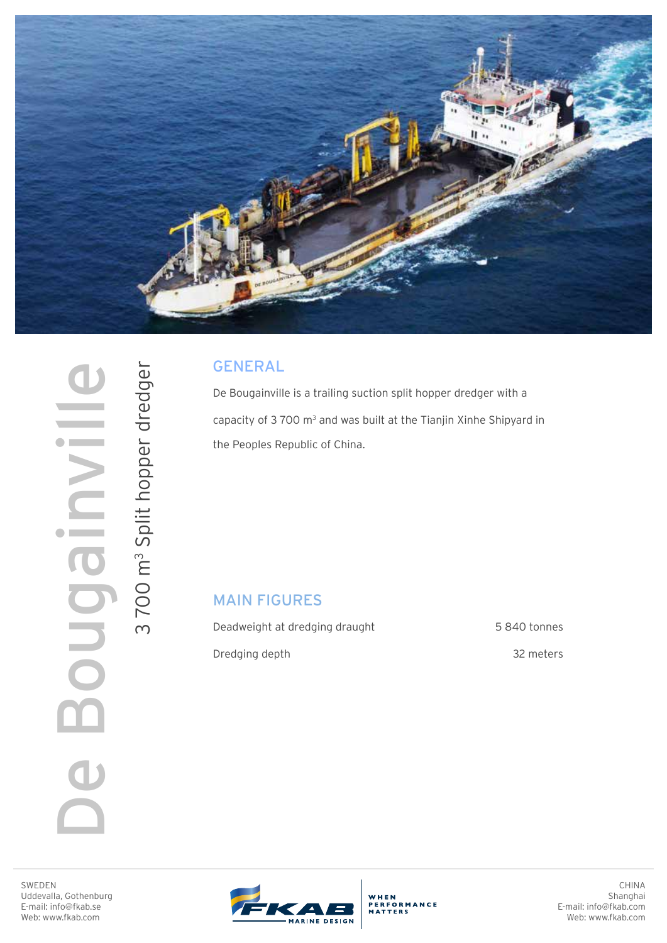

GENERAL

De Bougainville is a trailing suction split hopper dredger with a capacity of  $3700 \text{ m}^3$  and was built at the Tianjin Xinhe Shipyard in the Peoples Republic of China.

## MAIN FIGURES

Deadweight at dredging draught Dredging depth

 5 840 tonnes 32 meters

SWEDEN Uddevalla, Gothenburg E-mail: info@fkab.se Web: www.fkab.com

De Bougainville

De Bougai

 $\geq$ 

 $\bullet$ 

3700 m<sup>3</sup> Split hopper dredger

3 Split hopper dredger



WHEN ERFORMANCE

CHINA Shanghai E-mail: info@fkab.com Web: www.fkab.com